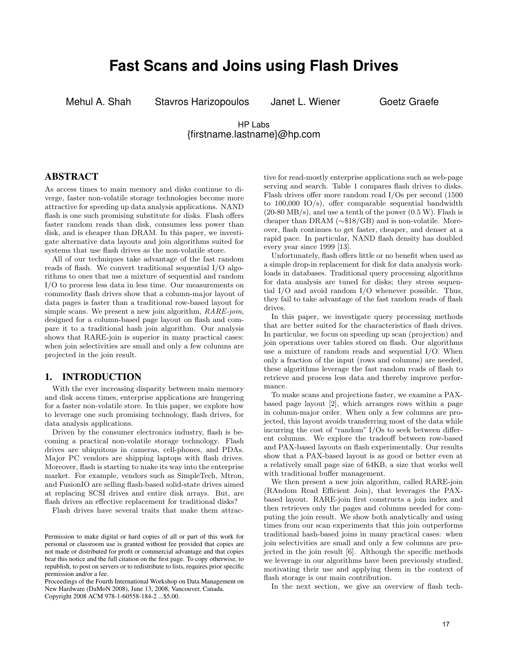# **Fast Scans and Joins using Flash Drives**

Mehul A. Shah Stavros Harizopoulos Janet L. Wiener Goetz Graefe

# HP Labs {firstname.lastname}@hp.com

# ABSTRACT

As access times to main memory and disks continue to diverge, faster non-volatile storage technologies become more attractive for speeding up data analysis applications. NAND flash is one such promising substitute for disks. Flash offers faster random reads than disk, consumes less power than disk, and is cheaper than DRAM. In this paper, we investigate alternative data layouts and join algorithms suited for systems that use flash drives as the non-volatile store.

All of our techniques take advantage of the fast random reads of flash. We convert traditional sequential I/O algorithms to ones that use a mixture of sequential and random I/O to process less data in less time. Our measurements on commodity flash drives show that a column-major layout of data pages is faster than a traditional row-based layout for simple scans. We present a new join algorithm,  $RARE\text{-}join$ , designed for a column-based page layout on flash and compare it to a traditional hash join algorithm. Our analysis shows that RARE-join is superior in many practical cases: when join selectivities are small and only a few columns are projected in the join result.

# 1. INTRODUCTION

With the ever increasing disparity between main memory and disk access times, enterprise applications are hungering for a faster non-volatile store. In this paper, we explore how to leverage one such promising technology, flash drives, for data analysis applications.

Driven by the consumer electronics industry, flash is becoming a practical non-volatile storage technology. Flash drives are ubiquitous in cameras, cell-phones, and PDAs. Major PC vendors are shipping laptops with flash drives. Moreover, flash is starting to make its way into the enterprise market. For example, vendors such as SimpleTech, Mtron, and FusionIO are selling flash-based solid-state drives aimed at replacing SCSI drives and entire disk arrays. But, are flash drives an effective replacement for traditional disks?

Flash drives have several traits that make them attrac-

tive for read-mostly enterprise applications such as web-page serving and search. Table 1 compares flash drives to disks. Flash drives offer more random read I/Os per second (1500 to  $100,000$  IO/s), offer comparable sequential bandwidth  $(20-80 \text{ MB/s})$ , and use a tenth of the power  $(0.5 \text{ W})$ . Flash is cheaper than DRAM (∼\$18/GB) and is non-volatile. Moreover, flash continues to get faster, cheaper, and denser at a rapid pace. In particular, NAND flash density has doubled every year since 1999 [13].

Unfortunately, flash offers little or no benefit when used as a simple drop-in replacement for disk for data analysis workloads in databases. Traditional query processing algorithms for data analysis are tuned for disks; they stress sequential I/O and avoid random I/O whenever possible. Thus, they fail to take advantage of the fast random reads of flash drives.

In this paper, we investigate query processing methods that are better suited for the characteristics of flash drives. In particular, we focus on speeding up scan (projection) and join operations over tables stored on flash. Our algorithms use a mixture of random reads and sequential I/O. When only a fraction of the input (rows and columns) are needed, these algorithms leverage the fast random reads of flash to retrieve and process less data and thereby improve performance.

To make scans and projections faster, we examine a PAXbased page layout [2], which arranges rows within a page in column-major order. When only a few columns are projected, this layout avoids transferring most of the data while incurring the cost of "random" I/Os to seek between different columns. We explore the tradeoff between row-based and PAX-based layouts on flash experimentally. Our results show that a PAX-based layout is as good or better even at a relatively small page size of 64KB, a size that works well with traditional buffer management.

We then present a new join algorithm, called RARE-join (RAndom Read Efficient Join), that leverages the PAXbased layout. RARE-join first constructs a join index and then retrieves only the pages and columns needed for computing the join result. We show both analytically and using times from our scan experiments that this join outperforms traditional hash-based joins in many practical cases: when join selectivities are small and only a few columns are projected in the join result [6]. Although the specific methods we leverage in our algorithms have been previously studied, motivating their use and applying them in the context of flash storage is our main contribution.

In the next section, we give an overview of flash tech-

Permission to make digital or hard copies of all or part of this work for personal or classroom use is granted without fee provided that copies are not made or distributed for profit or commercial advantage and that copies bear this notice and the full citation on the first page. To copy otherwise, to republish, to post on servers or to redistribute to lists, requires prior specific permission and/or a fee.

Proceedings of the Fourth International Workshop on Data Management on New Hardware (DaMoN 2008), June 13, 2008, Vancouver, Canada. Copyright 2008 ACM 978-1-60558-184-2 ...\$5.00.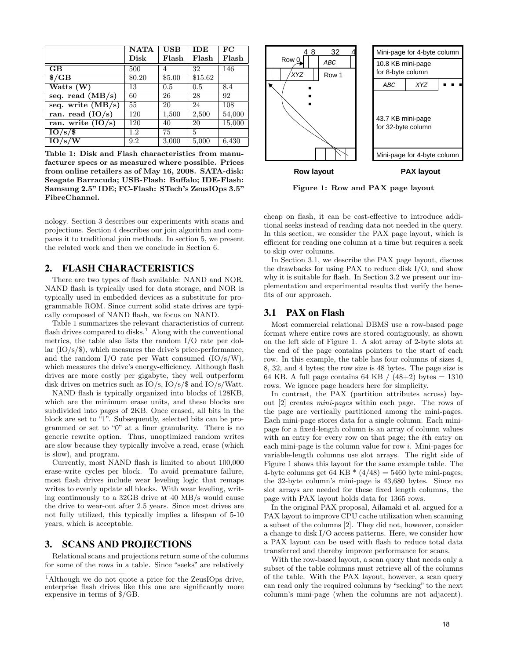|                                | <b>NATA</b>   | <b>USB</b> | <b>IDE</b>         | FC     |
|--------------------------------|---------------|------------|--------------------|--------|
|                                | $_{\rm Disk}$ | Flash      | Flash              | Flash  |
| <b>GB</b>                      | 500           | 4          | 32                 | 146    |
| $\sqrt{$G]}$                   | \$0.20        | \$5.00     | \$15.62            |        |
| Watts (W)                      | 13            | 0.5        | 0.5                | 8.4    |
| seq. read $(MB/s)$             | 60            | 26         | 28                 | 92     |
| seq. write $(MB/s)$            | 55            | 20         | 24                 | 108    |
| ran. read $(\overline{IO/s})$  | 120           | 1,500      | $\overline{2,500}$ | 54,000 |
| ran. write $(\overline{IO/s})$ | 120           | 40         | 20                 | 15,000 |
| 10/s/                          | 1.2           | 75         | 5                  |        |
| 10/s/W                         | 9.2           | 3,000      | 5,000              | 6,430  |

Table 1: Disk and Flash characteristics from manufacturer specs or as measured where possible. Prices from online retailers as of May 16, 2008. SATA-disk: Seagate Barracuda; USB-Flash: Buffalo; IDE-Flash: Samsung 2.5" IDE; FC-Flash: STech's ZeusIOps 3.5" FibreChannel.

nology. Section 3 describes our experiments with scans and projections. Section 4 describes our join algorithm and compares it to traditional join methods. In section 5, we present the related work and then we conclude in Section 6.

# 2. FLASH CHARACTERISTICS

There are two types of flash available: NAND and NOR. NAND flash is typically used for data storage, and NOR is typically used in embedded devices as a substitute for programmable ROM. Since current solid state drives are typically composed of NAND flash, we focus on NAND.

Table 1 summarizes the relevant characteristics of current flash drives compared to disks.<sup>1</sup> Along with the conventional metrics, the table also lists the random I/O rate per dollar (IO/s/\$), which measures the drive's price-performance, and the random I/O rate per Watt consumed (IO/s/W), which measures the drive's energy-efficiency. Although flash drives are more costly per gigabyte, they well outperform disk drives on metrics such as IO/s, IO/s/\$ and IO/s/Watt.

NAND flash is typically organized into blocks of 128KB, which are the minimum erase units, and these blocks are subdivided into pages of 2KB. Once erased, all bits in the block are set to "1". Subsequently, selected bits can be programmed or set to "0" at a finer granularity. There is no generic rewrite option. Thus, unoptimized random writes are slow because they typically involve a read, erase (which is slow), and program.

Currently, most NAND flash is limited to about 100,000 erase-write cycles per block. To avoid premature failure, most flash drives include wear leveling logic that remaps writes to evenly update all blocks. With wear leveling, writing continuously to a 32GB drive at 40 MB/s would cause the drive to wear-out after 2.5 years. Since most drives are not fully utilized, this typically implies a lifespan of 5-10 years, which is acceptable.

## 3. SCANS AND PROJECTIONS

Relational scans and projections return some of the columns for some of the rows in a table. Since "seeks" are relatively



Figure 1: Row and PAX page layout

cheap on flash, it can be cost-effective to introduce additional seeks instead of reading data not needed in the query. In this section, we consider the PAX page layout, which is efficient for reading one column at a time but requires a seek to skip over columns.

In Section 3.1, we describe the PAX page layout, discuss the drawbacks for using PAX to reduce disk I/O, and show why it is suitable for flash. In Section 3.2 we present our implementation and experimental results that verify the benefits of our approach.

## 3.1 PAX on Flash

Most commercial relational DBMS use a row-based page format where entire rows are stored contiguously, as shown on the left side of Figure 1. A slot array of 2-byte slots at the end of the page contains pointers to the start of each row. In this example, the table has four columns of sizes 4, 8, 32, and 4 bytes; the row size is 48 bytes. The page size is 64 KB. A full page contains 64 KB /  $(48+2)$  bytes = 1310 rows. We ignore page headers here for simplicity.

In contrast, the PAX (partition attributes across) layout [2] creates mini-pages within each page. The rows of the page are vertically partitioned among the mini-pages. Each mini-page stores data for a single column. Each minipage for a fixed-length column is an array of column values with an entry for every row on that page; the *i*th entry on each mini-page is the column value for row i. Mini-pages for variable-length columns use slot arrays. The right side of Figure 1 shows this layout for the same example table. The 4-byte columns get 64 KB  $*(4/48) = 5460$  byte mini-pages; the 32-byte column's mini-page is 43,680 bytes. Since no slot arrays are needed for these fixed length columns, the page with PAX layout holds data for 1365 rows.

In the original PAX proposal, Ailamaki et al. argued for a PAX layout to improve CPU cache utilization when scanning a subset of the columns [2]. They did not, however, consider a change to disk I/O access patterns. Here, we consider how a PAX layout can be used with flash to reduce total data transferred and thereby improve performance for scans.

With the row-based layout, a scan query that needs only a subset of the table columns must retrieve all of the columns of the table. With the PAX layout, however, a scan query can read only the required columns by "seeking" to the next column's mini-page (when the columns are not adjacent).

<sup>1</sup>Although we do not quote a price for the ZeusIOps drive, enterprise flash drives like this one are significantly more expensive in terms of \$/GB.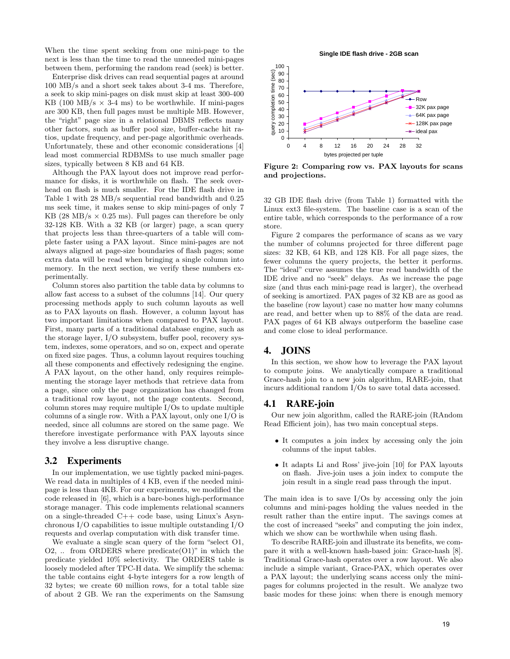When the time spent seeking from one mini-page to the next is less than the time to read the unneeded mini-pages between them, performing the random read (seek) is better.

Enterprise disk drives can read sequential pages at around 100 MB/s and a short seek takes about 3-4 ms. Therefore, a seek to skip mini-pages on disk must skip at least 300-400 KB (100 MB/s  $\times$  3-4 ms) to be worthwhile. If mini-pages are 300 KB, then full pages must be multiple MB. However, the "right" page size in a relational DBMS reflects many other factors, such as buffer pool size, buffer-cache hit ratios, update frequency, and per-page algorithmic overheads. Unfortunately, these and other economic considerations [4] lead most commercial RDBMSs to use much smaller page sizes, typically between 8 KB and 64 KB.

Although the PAX layout does not improve read performance for disks, it is worthwhile on flash. The seek overhead on flash is much smaller. For the IDE flash drive in Table 1 with 28 MB/s sequential read bandwidth and 0.25 ms seek time, it makes sense to skip mini-pages of only 7 KB (28 MB/s  $\times$  0.25 ms). Full pages can therefore be only 32-128 KB. With a 32 KB (or larger) page, a scan query that projects less than three-quarters of a table will complete faster using a PAX layout. Since mini-pages are not always aligned at page-size boundaries of flash pages; some extra data will be read when bringing a single column into memory. In the next section, we verify these numbers experimentally.

Column stores also partition the table data by columns to allow fast access to a subset of the columns [14]. Our query processing methods apply to such column layouts as well as to PAX layouts on flash. However, a column layout has two important limitations when compared to PAX layout. First, many parts of a traditional database engine, such as the storage layer, I/O subsystem, buffer pool, recovery system, indexes, some operators, and so on, expect and operate on fixed size pages. Thus, a column layout requires touching all these components and effectively redesigning the engine. A PAX layout, on the other hand, only requires reimplementing the storage layer methods that retrieve data from a page, since only the page organization has changed from a traditional row layout, not the page contents. Second, column stores may require multiple I/Os to update multiple columns of a single row. With a PAX layout, only one I/O is needed, since all columns are stored on the same page. We therefore investigate performance with PAX layouts since they involve a less disruptive change.

## 3.2 Experiments

In our implementation, we use tightly packed mini-pages. We read data in multiples of 4 KB, even if the needed minipage is less than 4KB. For our experiments, we modified the code released in [6], which is a bare-bones high-performance storage manager. This code implements relational scanners on a single-threaded C++ code base, using Linux's Asynchronous I/O capabilities to issue multiple outstanding I/O requests and overlap computation with disk transfer time.

We evaluate a single scan query of the form "select O1,  $O2$ , ... from ORDERS where predicate $(O1)$ " in which the predicate yielded 10% selectivity. The ORDERS table is loosely modeled after TPC-H data. We simplify the schema: the table contains eight 4-byte integers for a row length of 32 bytes; we create 60 million rows, for a total table size of about 2 GB. We ran the experiments on the Samsung





Figure 2: Comparing row vs. PAX layouts for scans and projections.

32 GB IDE flash drive (from Table 1) formatted with the Linux ext3 file-system. The baseline case is a scan of the entire table, which corresponds to the performance of a row store.

Figure 2 compares the performance of scans as we vary the number of columns projected for three different page sizes: 32 KB, 64 KB, and 128 KB. For all page sizes, the fewer columns the query projects, the better it performs. The "ideal" curve assumes the true read bandwidth of the IDE drive and no "seek" delays. As we increase the page size (and thus each mini-page read is larger), the overhead of seeking is amortized. PAX pages of 32 KB are as good as the baseline (row layout) case no matter how many columns are read, and better when up to 88% of the data are read. PAX pages of 64 KB always outperform the baseline case and come close to ideal performance.

# 4. JOINS

In this section, we show how to leverage the PAX layout to compute joins. We analytically compare a traditional Grace-hash join to a new join algorithm, RARE-join, that incurs additional random I/Os to save total data accessed.

#### 4.1 RARE-join

Our new join algorithm, called the RARE-join (RAndom Read Efficient join), has two main conceptual steps.

- It computes a join index by accessing only the join columns of the input tables.
- It adapts Li and Ross' jive-join [10] for PAX layouts on flash. Jive-join uses a join index to compute the join result in a single read pass through the input.

The main idea is to save I/Os by accessing only the join columns and mini-pages holding the values needed in the result rather than the entire input. The savings comes at the cost of increased "seeks" and computing the join index, which we show can be worthwhile when using flash.

To describe RARE-join and illustrate its benefits, we compare it with a well-known hash-based join: Grace-hash [8]. Traditional Grace-hash operates over a row layout. We also include a simple variant, Grace-PAX, which operates over a PAX layout; the underlying scans access only the minipages for columns projected in the result. We analyze two basic modes for these joins: when there is enough memory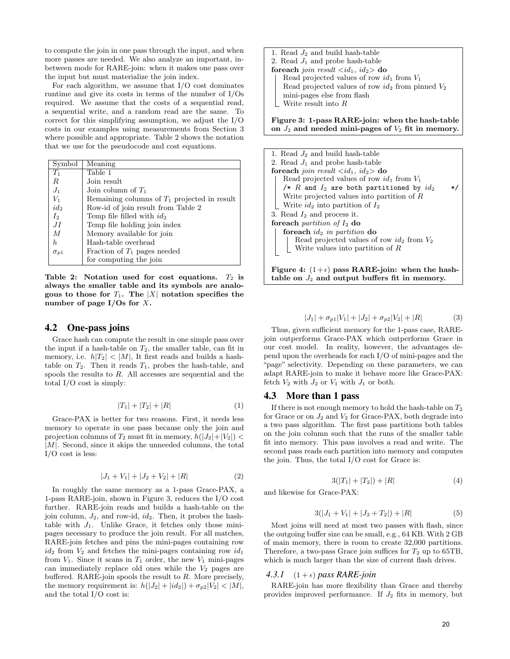to compute the join in one pass through the input, and when more passes are needed. We also analyze an important, inbetween mode for RARE-join: when it makes one pass over the input but must materialize the join index.

For each algorithm, we assume that I/O cost dominates runtime and give its costs in terms of the number of I/Os required. We assume that the costs of a sequential read, a sequential write, and a random read are the same. To correct for this simplifying assumption, we adjust the I/O costs in our examples using measurements from Section 3 where possible and appropriate. Table 2 shows the notation that we use for the pseudocode and cost equations.

| Symbol         | Meaning                                        |
|----------------|------------------------------------------------|
| $T_1$          | Table 1                                        |
| R              | Join result                                    |
| $J_1$          | Join column of $T_1$                           |
| $V_1$          | Remaining columns of $T_1$ projected in result |
| $id_2$         | Row-id of join result from Table 2             |
| I <sub>2</sub> | Temp file filled with $id_2$                   |
| JI             | Temp file holding join index                   |
| M              | Memory available for join                      |
| h.             | Hash-table overhead                            |
| $\sigma_{p1}$  | Fraction of $T_1$ pages needed                 |
|                | for computing the join                         |

Table 2: Notation used for cost equations.  $T_2$  is always the smaller table and its symbols are analogous to those for  $T_1$ . The |X| notation specifies the number of page  $I/Os$  for X.

## 4.2 One-pass joins

Grace hash can compute the result in one simple pass over the input if a hash-table on  $T_2$ , the smaller table, can fit in memory, i.e.  $h|T_2| < |M|$ , It first reads and builds a hashtable on  $T_2$ . Then it reads  $T_1$ , probes the hash-table, and spools the results to  $R$ . All accesses are sequential and the total I/O cost is simply:

$$
|T_1| + |T_2| + |R| \tag{1}
$$

Grace-PAX is better for two reasons. First, it needs less memory to operate in one pass because only the join and projection columns of  $T_2$  must fit in memory,  $h(|J_2|+|V_2|)$  <  $|M|$ . Second, since it skips the unneeded columns, the total I/O cost is less:

$$
|J_1 + V_1| + |J_2 + V_2| + |R| \tag{2}
$$

In roughly the same memory as a 1-pass Grace-PAX, a 1-pass RARE-join, shown in Figure 3, reduces the I/O cost further. RARE-join reads and builds a hash-table on the join column,  $J_2$ , and row-id,  $id_2$ . Then, it probes the hashtable with  $J_1$ . Unlike Grace, it fetches only those minipages necessary to produce the join result. For all matches, RARE-join fetches and pins the mini-pages containing row  $id_2$  from  $V_2$  and fetches the mini-pages containing row  $id_1$ from  $V_1$ . Since it scans in  $T_1$  order, the new  $V_1$  mini-pages can immediately replace old ones while the  $V_2$  pages are buffered. RARE-join spools the result to  $R$ . More precisely, the memory requirement is:  $h(|J_2|+|id_2|)+\sigma_{p2}|V_2|<|M|$ , and the total I/O cost is:

| 1. Read $J_2$ and build hash-table                    |
|-------------------------------------------------------|
| 2. Read $J_1$ and probe hash-table                    |
| foreach join result $\langle id_1, id_2 \rangle$ do   |
| Read projected values of row $id_1$ from $V_1$        |
| Read projected values of row $id_2$ from pinned $V_2$ |
| mini-pages else from flash                            |
| Write result into $R$                                 |
|                                                       |
|                                                       |

Figure 3: 1-pass RARE-join: when the hash-table on  $J_2$  and needed mini-pages of  $V_2$  fit in memory.

| 1. Read $J_2$ and build hash-table                                |
|-------------------------------------------------------------------|
| 2. Read $J_1$ and probe hash-table                                |
| <b>foreach</b> join result $\langle id_1, id_2 \rangle$ <b>do</b> |
| Read projected values of row $id_1$ from $V_1$                    |
| /* $R$ and $I_2$ are both partitioned by $id_2$<br>$*$            |
| Write projected values into partition of $R$                      |
| Write $id_2$ into partition of $I_2$                              |
| 3. Read $I_2$ and process it.                                     |
| foreach <i>partition</i> of $I_2$ do                              |
| foreach $id_2$ in partition do                                    |
| Read projected values of row $id_2$ from ${\cal V}_2$             |
| Write values into partition of $R$                                |
|                                                                   |
| Figure 4: $(1+\epsilon)$ pass RARE-join: when the hash-           |

table on  $J_2$  and output buffers fit in memory.

$$
|J_1| + \sigma_{p1}|V_1| + |J_2| + \sigma_{p2}|V_2| + |R| \tag{3}
$$

Thus, given sufficient memory for the 1-pass case, RAREjoin outperforms Grace-PAX which outperforms Grace in our cost model. In reality, however, the advantages depend upon the overheads for each I/O of mini-pages and the "page" selectivity. Depending on these parameters, we can adapt RARE-join to make it behave more like Grace-PAX: fetch  $V_2$  with  $J_2$  or  $V_1$  with  $J_1$  or both.

#### 4.3 More than 1 pass

If there is not enough memory to hold the hash-table on  $T_2$ for Grace or on  $J_2$  and  $V_2$  for Grace-PAX, both degrade into a two pass algorithm. The first pass partitions both tables on the join column such that the runs of the smaller table fit into memory. This pass involves a read and write. The second pass reads each partition into memory and computes the join. Thus, the total I/O cost for Grace is:

$$
3(|T_1| + |T_2|) + |R| \tag{4}
$$

and likewise for Grace-PAX:

$$
3(|J_1 + V_1| + |J_2 + T_2|) + |R| \tag{5}
$$

Most joins will need at most two passes with flash, since the outgoing buffer size can be small, e.g., 64 KB. With 2 GB of main memory, there is room to create 32,000 partitions. Therefore, a two-pass Grace join suffices for  $T_2$  up to 65TB, which is much larger than the size of current flash drives.

#### 4.3.1  $(1 + \epsilon)$  pass RARE-join

RARE-join has more flexibility than Grace and thereby provides improved performance. If  $J_2$  fits in memory, but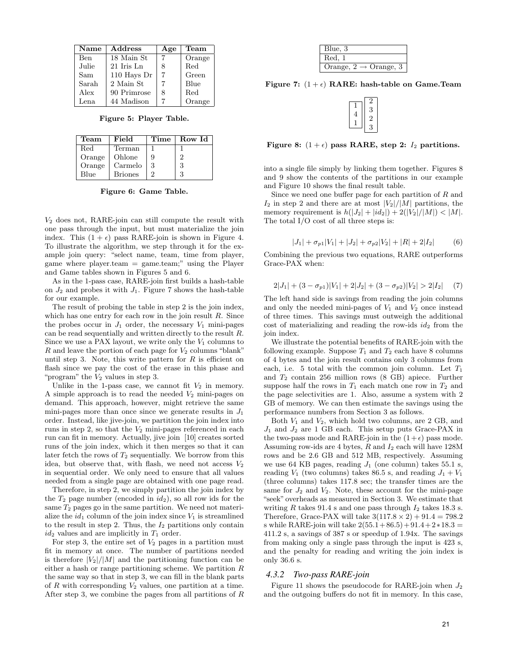| <b>Name</b> | Address      | Age | Team   |
|-------------|--------------|-----|--------|
| Ben         | 18 Main St   |     | Orange |
| Julie       | $21$ Iris Ln | 8   | Red    |
| Sam         | 110 Hays Dr  |     | Green  |
| Sarah       | 2 Main St    |     | Blue   |
| Alex        | 90 Primrose  | 8   | Red    |
| Lena        | 44 Madison   |     | Orange |

Figure 5: Player Table.

| Team         | Field          | Time | Row Id         |
|--------------|----------------|------|----------------|
| $_{\rm Red}$ | Terman         |      |                |
| Orange       | Ohlone         | 9    | $\overline{2}$ |
| Orange       | Carmelo        | 3    | 3              |
| Blue         | <b>Briones</b> | 2    | 3              |

Figure 6: Game Table.

 $V_2$  does not, RARE-join can still compute the result with one pass through the input, but must materialize the join index. This  $(1 + \epsilon)$  pass RARE-join is shown in Figure 4. To illustrate the algorithm, we step through it for the example join query: "select name, team, time from player, game where  $player}{.team = game}{.team; "using the Player}$ and Game tables shown in Figures 5 and 6.

As in the 1-pass case, RARE-join first builds a hash-table on  $J_2$  and probes it with  $J_1$ . Figure 7 shows the hash-table for our example.

The result of probing the table in step 2 is the join index, which has one entry for each row in the join result  $R$ . Since the probes occur in  $J_1$  order, the necessary  $V_1$  mini-pages can be read sequentially and written directly to the result R. Since we use a PAX layout, we write only the  $V_1$  columns to  $R$  and leave the portion of each page for  $V_2$  columns "blank" until step 3. Note, this write pattern for  $R$  is efficient on flash since we pay the cost of the erase in this phase and "program" the  $V_2$  values in step 3.

Unlike in the 1-pass case, we cannot fit  $V_2$  in memory. A simple approach is to read the needed  $V_2$  mini-pages on demand. This approach, however, might retrieve the same mini-pages more than once since we generate results in  $J_1$ order. Instead, like jive-join, we partition the join index into runs in step 2, so that the  $V_2$  mini-pages referenced in each run can fit in memory. Actually, jive join [10] creates sorted runs of the join index, which it then merges so that it can later fetch the rows of  $T_2$  sequentially. We borrow from this idea, but observe that, with flash, we need not access  $V_2$ in sequential order. We only need to ensure that all values needed from a single page are obtained with one page read.

Therefore, in step 2, we simply partition the join index by the  $T_2$  page number (encoded in  $id_2$ ), so all row ids for the same  $T_2$  pages go in the same partition. We need not materialize the  $id_1$  column of the join index since  $V_1$  is streamlined to the result in step 2. Thus, the  $I_2$  partitions only contain  $id_2$  values and are implicitly in  $T_1$  order.

For step 3, the entire set of  $V_2$  pages in a partition must fit in memory at once. The number of partitions needed is therefore  $|V_2|/|M|$  and the partitioning function can be either a hash or range partitioning scheme. We partition R the same way so that in step 3, we can fill in the blank parts of  $R$  with corresponding  $V_2$  values, one partition at a time. After step 3, we combine the pages from all partitions of R

| Blue, 3                              |  |
|--------------------------------------|--|
| Red. 1                               |  |
| Orange, 2<br>$\rightarrow$ Orange, 3 |  |

Figure 7:  $(1 + \epsilon)$  RARE: hash-table on Game.Team

Figure 8:  $(1 + \epsilon)$  pass RARE, step 2:  $I_2$  partitions.

into a single file simply by linking them together. Figures 8 and 9 show the contents of the partitions in our example and Figure 10 shows the final result table.

Since we need one buffer page for each partition of  $R$  and  $I_2$  in step 2 and there are at most  $|V_2|/|M|$  partitions, the memory requirement is  $h(|J_2| + |id_2|) + 2(|V_2|/|M|) < |M|$ . The total I/O cost of all three steps is:

$$
|J_1| + \sigma_{p1}|V_1| + |J_2| + \sigma_{p2}|V_2| + |R| + 2|I_2| \tag{6}
$$

Combining the previous two equations, RARE outperforms Grace-PAX when:

$$
2|J_1| + (3 - \sigma_{p1})|V_1| + 2|J_2| + (3 - \sigma_{p2})|V_2| > 2|I_2| \quad (7)
$$

The left hand side is savings from reading the join columns and only the needed mini-pages of  $V_1$  and  $V_2$  once instead of three times. This savings must outweigh the additional cost of materializing and reading the row-ids  $id_2$  from the join index.

We illustrate the potential benefits of RARE-join with the following example. Suppose  $T_1$  and  $T_2$  each have 8 columns of 4 bytes and the join result contains only 3 columns from each, i.e. 5 total with the common join column. Let  $T_1$ and T<sup>2</sup> contain 256 million rows (8 GB) apiece. Further suppose half the rows in  $T_1$  each match one row in  $T_2$  and the page selectivities are 1. Also, assume a system with 2 GB of memory. We can then estimate the savings using the performance numbers from Section 3 as follows.

Both  $V_1$  and  $V_2$ , which hold two columns, are 2 GB, and  $J_1$  and  $J_2$  are 1 GB each. This setup puts Grace-PAX in the two-pass mode and RARE-join in the  $(1+\epsilon)$  pass mode. Assuming row-ids are 4 bytes,  $R$  and  $I_2$  each will have 128M rows and be 2.6 GB and 512 MB, respectively. Assuming we use 64 KB pages, reading  $J_1$  (one column) takes 55.1 s, reading  $V_1$  (two columns) takes 86.5 s, and reading  $J_1 + V_1$ (three columns) takes 117.8 sec; the transfer times are the same for  $J_2$  and  $V_2$ . Note, these account for the mini-page "seek" overheads as measured in Section 3. We estimate that writing R takes 91.4 s and one pass through  $I_2$  takes 18.3 s. Therefore, Grace-PAX will take  $3(117.8 \times 2) + 91.4 = 798.2$ s while RARE-join will take  $2(55.1+86.5)+91.4+2*18.3=$ 411.2 s, a savings of 387 s or speedup of 1.94x. The savings from making only a single pass through the input is 423 s, and the penalty for reading and writing the join index is only 36.6 s.

#### *4.3.2 Two-pass RARE-join*

Figure 11 shows the pseudocode for RARE-join when  $J_2$ and the outgoing buffers do not fit in memory. In this case,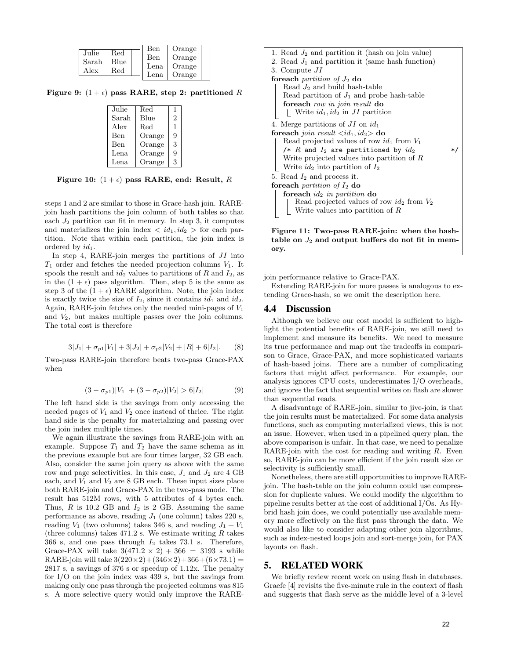|       |              | Ben  | Orange |  |
|-------|--------------|------|--------|--|
| Julie | $_{\rm Red}$ |      |        |  |
|       |              | Ben  | Orange |  |
| Sarah | Blue         |      |        |  |
| Alex  | $_{\rm Red}$ | Lena | Orange |  |
|       |              | Lena | Orange |  |
|       |              |      |        |  |

Figure 9:  $(1 + \epsilon)$  pass RARE, step 2: partitioned R

| Julie<br>Red<br>Blue<br>Sarah<br>Red<br>Alex<br>Ben<br>Orange<br>Orange<br>Ben<br>Lena<br>Orange<br>Orange<br>Lena |  |   |
|--------------------------------------------------------------------------------------------------------------------|--|---|
|                                                                                                                    |  | ı |
|                                                                                                                    |  | 2 |
|                                                                                                                    |  | 1 |
|                                                                                                                    |  | 9 |
|                                                                                                                    |  | 3 |
|                                                                                                                    |  | 9 |
|                                                                                                                    |  | 3 |

Figure 10:  $(1 + \epsilon)$  pass RARE, end: Result, R

steps 1 and 2 are similar to those in Grace-hash join. RAREjoin hash partitions the join column of both tables so that each  $J_2$  partition can fit in memory. In step 3, it computes and materializes the join index  $\langle id_1, id_2 \rangle$  for each partition. Note that within each partition, the join index is ordered by  $id_1$ .

In step 4, RARE-join merges the partitions of  $JI$  into  $T_1$  order and fetches the needed projection columns  $V_1$ . It spools the result and  $id_2$  values to partitions of R and  $I_2$ , as in the  $(1 + \epsilon)$  pass algorithm. Then, step 5 is the same as step 3 of the  $(1 + \epsilon)$  RARE algorithm. Note, the join index is exactly twice the size of  $I_2$ , since it contains  $id_1$  and  $id_2$ . Again, RARE-join fetches only the needed mini-pages of  $V_1$ and V2, but makes multiple passes over the join columns. The total cost is therefore

$$
3|J_1| + \sigma_{p1}|V_1| + 3|J_2| + \sigma_{p2}|V_2| + |R| + 6|I_2|. \tag{8}
$$

Two-pass RARE-join therefore beats two-pass Grace-PAX when

$$
(3 - \sigma_{p1})|V_1| + (3 - \sigma_{p2})|V_2| > 6|I_2|
$$
 (9)

The left hand side is the savings from only accessing the needed pages of  $V_1$  and  $V_2$  once instead of thrice. The right hand side is the penalty for materializing and passing over the join index multiple times.

We again illustrate the savings from RARE-join with an example. Suppose  $T_1$  and  $T_2$  have the same schema as in the previous example but are four times larger, 32 GB each. Also, consider the same join query as above with the same row and page selectivities. In this case,  $J_1$  and  $J_2$  are 4 GB each, and  $V_1$  and  $V_2$  are 8 GB each. These input sizes place both RARE-join and Grace-PAX in the two-pass mode. The result has 512M rows, with 5 attributes of 4 bytes each. Thus,  $R$  is 10.2 GB and  $I_2$  is 2 GB. Assuming the same performance as above, reading  $J_1$  (one column) takes 220 s, reading  $V_1$  (two columns) takes 346 s, and reading  $J_1 + V_1$ (three columns) takes  $471.2$  s. We estimate writing R takes 366 s, and one pass through  $I_2$  takes 73.1 s. Therefore, Grace-PAX will take  $3(471.2 \times 2) + 366 = 3193$  s while RARE-join will take  $3(220 \times 2) + (346 \times 2) + 366 + (6 \times 73.1) =$ 2817 s, a savings of 376 s or speedup of 1.12x. The penalty for I/O on the join index was 439 s, but the savings from making only one pass through the projected columns was 815 s. A more selective query would only improve the RARE-



table on  $J_2$  and output buffers do not fit in memory.

join performance relative to Grace-PAX.

Extending RARE-join for more passes is analogous to extending Grace-hash, so we omit the description here.

#### 4.4 Discussion

Although we believe our cost model is sufficient to highlight the potential benefits of RARE-join, we still need to implement and measure its benefits. We need to measure its true performance and map out the tradeoffs in comparison to Grace, Grace-PAX, and more sophisticated variants of hash-based joins. There are a number of complicating factors that might affect performance. For example, our analysis ignores CPU costs, underestimates I/O overheads, and ignores the fact that sequential writes on flash are slower than sequential reads.

A disadvantage of RARE-join, similar to jive-join, is that the join results must be materialized. For some data analysis functions, such as computing materialized views, this is not an issue. However, when used in a pipelined query plan, the above comparison is unfair. In that case, we need to penalize RARE-join with the cost for reading and writing  $R$ . Even so, RARE-join can be more efficient if the join result size or selectivity is sufficiently small.

Nonetheless, there are still opportunities to improve RAREjoin. The hash-table on the join column could use compression for duplicate values. We could modify the algorithm to pipeline results better at the cost of additional I/Os. As Hybrid hash join does, we could potentially use available memory more effectively on the first pass through the data. We would also like to consider adapting other join algorithms, such as index-nested loops join and sort-merge join, for PAX layouts on flash.

## 5. RELATED WORK

We briefly review recent work on using flash in databases. Graefe [4] revisits the five-minute rule in the context of flash and suggests that flash serve as the middle level of a 3-level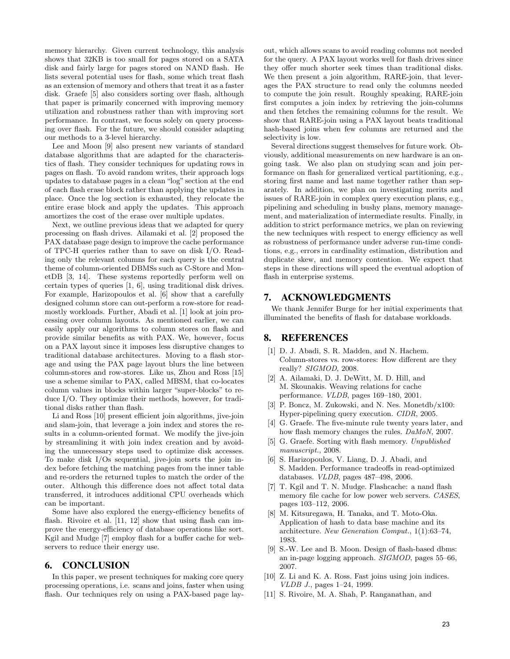memory hierarchy. Given current technology, this analysis shows that 32KB is too small for pages stored on a SATA disk and fairly large for pages stored on NAND flash. He lists several potential uses for flash, some which treat flash as an extension of memory and others that treat it as a faster disk. Graefe [5] also considers sorting over flash, although that paper is primarily concerned with improving memory utilization and robustness rather than with improving sort performance. In contrast, we focus solely on query processing over flash. For the future, we should consider adapting our methods to a 3-level hierarchy.

Lee and Moon [9] also present new variants of standard database algorithms that are adapted for the characteristics of flash. They consider techniques for updating rows in pages on flash. To avoid random writes, their approach logs updates to database pages in a clean "log" section at the end of each flash erase block rather than applying the updates in place. Once the log section is exhausted, they relocate the entire erase block and apply the updates. This approach amortizes the cost of the erase over multiple updates.

Next, we outline previous ideas that we adapted for query processing on flash drives. Ailamaki et al. [2] proposed the PAX database page design to improve the cache performance of TPC-H queries rather than to save on disk I/O. Reading only the relevant columns for each query is the central theme of column-oriented DBMSs such as C-Store and MonetDB [3, 14]. These systems reportedly perform well on certain types of queries [1, 6], using traditional disk drives. For example, Harizopoulos et al. [6] show that a carefully designed column store can out-perform a row-store for readmostly workloads. Further, Abadi et al. [1] look at join processing over column layouts. As mentioned earlier, we can easily apply our algorithms to column stores on flash and provide similar benefits as with PAX. We, however, focus on a PAX layout since it imposes less disruptive changes to traditional database architectures. Moving to a flash storage and using the PAX page layout blurs the line between column-stores and row-stores. Like us, Zhou and Ross [15] use a scheme similar to PAX, called MBSM, that co-locates column values in blocks within larger "super-blocks" to reduce I/O. They optimize their methods, however, for traditional disks rather than flash.

Li and Ross [10] present efficient join algorithms, jive-join and slam-join, that leverage a join index and stores the results in a column-oriented format. We modify the jive-join by streamlining it with join index creation and by avoiding the unnecessary steps used to optimize disk accesses. To make disk I/Os sequential, jive-join sorts the join index before fetching the matching pages from the inner table and re-orders the returned tuples to match the order of the outer. Although this difference does not affect total data transferred, it introduces additional CPU overheads which can be important.

Some have also explored the energy-efficiency benefits of flash. Rivoire et al. [11, 12] show that using flash can improve the energy-efficiency of database operations like sort. Kgil and Mudge [7] employ flash for a buffer cache for webservers to reduce their energy use.

#### 6. CONCLUSION

In this paper, we present techniques for making core query processing operations, i.e. scans and joins, faster when using flash. Our techniques rely on using a PAX-based page layout, which allows scans to avoid reading columns not needed for the query. A PAX layout works well for flash drives since they offer much shorter seek times than traditional disks. We then present a join algorithm, RARE-join, that leverages the PAX structure to read only the columns needed to compute the join result. Roughly speaking, RARE-join first computes a join index by retrieving the join-columns and then fetches the remaining columns for the result. We show that RARE-join using a PAX layout beats traditional hash-based joins when few columns are returned and the selectivity is low.

Several directions suggest themselves for future work. Obviously, additional measurements on new hardware is an ongoing task. We also plan on studying scan and join performance on flash for generalized vertical partitioning, e.g., storing first name and last name together rather than separately. In addition, we plan on investigating merits and issues of RARE-join in complex query execution plans, e.g., pipelining and scheduling in bushy plans, memory management, and materialization of intermediate results. Finally, in addition to strict performance metrics, we plan on reviewing the new techniques with respect to energy efficiency as well as robustness of performance under adverse run-time conditions, e.g., errors in cardinality estimation, distribution and duplicate skew, and memory contention. We expect that steps in these directions will speed the eventual adoption of flash in enterprise systems.

# 7. ACKNOWLEDGMENTS

We thank Jennifer Burge for her initial experiments that illuminated the benefits of flash for database workloads.

# 8. REFERENCES

- [1] D. J. Abadi, S. R. Madden, and N. Hachem. Column-stores vs. row-stores: How different are they really? SIGMOD, 2008.
- [2] A. Ailamaki, D. J. DeWitt, M. D. Hill, and M. Skounakis. Weaving relations for cache performance. VLDB, pages 169–180, 2001.
- [3] P. Boncz, M. Zukowski, and N. Nes. Monetdb/x100: Hyper-pipelining query execution. CIDR, 2005.
- [4] G. Graefe. The five-minute rule twenty years later, and how flash memory changes the rules. DaMoN, 2007.
- [5] G. Graefe. Sorting with flash memory. Unpublished manuscript., 2008.
- [6] S. Harizopoulos, V. Liang, D. J. Abadi, and S. Madden. Performance tradeoffs in read-optimized databases. VLDB, pages 487–498, 2006.
- [7] T. Kgil and T. N. Mudge. Flashcache: a nand flash memory file cache for low power web servers. CASES, pages 103–112, 2006.
- [8] M. Kitsuregawa, H. Tanaka, and T. Moto-Oka. Application of hash to data base machine and its architecture. New Generation Comput., 1(1):63–74, 1983.
- [9] S.-W. Lee and B. Moon. Design of flash-based dbms: an in-page logging approach. SIGMOD, pages 55–66, 2007.
- [10] Z. Li and K. A. Ross. Fast joins using join indices. VLDB J., pages 1–24, 1999.
- [11] S. Rivoire, M. A. Shah, P. Ranganathan, and